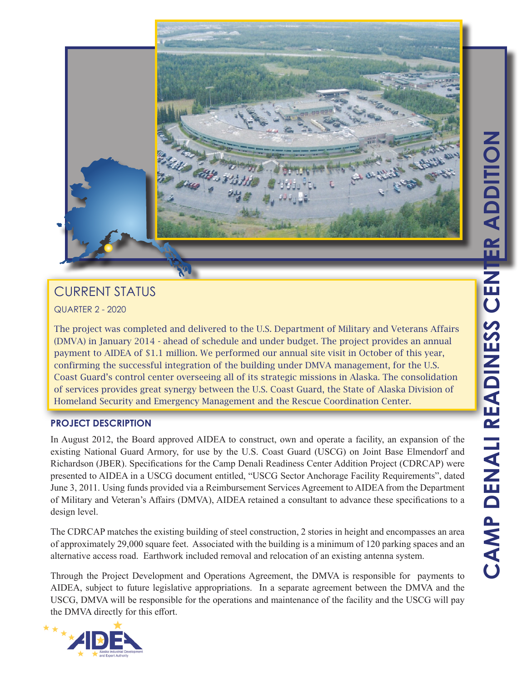

# CURRENT STATUS

QUARTER 2 - 2020

The project was completed and delivered to the U.S. Department of Military and Veterans Affairs (DMVA) in January 2014 - ahead of schedule and under budget. The project provides an annual payment to AIDEA of \$1.1 million. We performed our annual site visit in October of this year, confirming the successful integration of the building under DMVA management, for the U.S. Coast Guard's control center overseeing all of its strategic missions in Alaska. The consolidation of services provides great synergy between the U.S. Coast Guard, the State of Alaska Division of Homeland Security and Emergency Management and the Rescue Coordination Center.

## **PROJECT DESCRIPTION**

In August 2012, the Board approved AIDEA to construct, own and operate a facility, an expansion of the existing National Guard Armory, for use by the U.S. Coast Guard (USCG) on Joint Base Elmendorf and Richardson (JBER). Specifications for the Camp Denali Readiness Center Addition Project (CDRCAP) were presented to AIDEA in a USCG document entitled, "USCG Sector Anchorage Facility Requirements", dated June 3, 2011. Using funds provided via a Reimbursement Services Agreement to AIDEA from the Department of Military and Veteran's Affairs (DMVA), AIDEA retained a consultant to advance these specifications to a design level.

The CDRCAP matches the existing building of steel construction, 2 stories in height and encompasses an area of approximately 29,000 square feet. Associated with the building is a minimum of 120 parking spaces and an alternative access road. Earthwork included removal and relocation of an existing antenna system.

Through the Project Development and Operations Agreement, the DMVA is responsible for payments to AIDEA, subject to future legislative appropriations. In a separate agreement between the DMVA and the USCG, DMVA will be responsible for the operations and maintenance of the facility and the USCG will pay the DMVA directly for this effort.